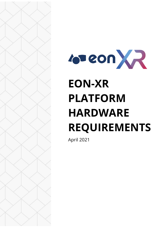

# **EON-XR PLATFORM HARDWARE REQUIREMENTS**

April 2021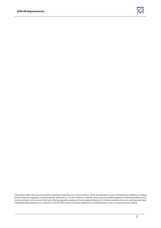

Information within this document and/or statements regarding our current product, within development or future development initiatives, including product features, upgrades, or enhancements represent our current intentions. However, these may be modified, delayed or abandoned without prior notice and there is no assurance that such offering, upgrades, updates or functionality will become or remain available unless and until they have been made generally available to our customers. Some of these features may be deployed as a bundled feature, Opt-in or paid activation feature.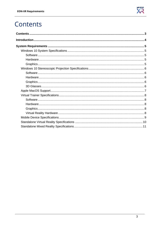

## <span id="page-2-0"></span>Contents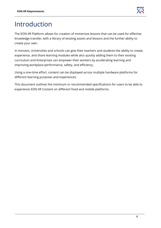

# <span id="page-3-0"></span>Introduction

The EON-XR Platform allows for creation of immersive lessons that can be used for effective knowledge transfer, with a library of existing assets and lessons and the further ability to create your own.

In minutes, Universities and schools can give their teachers and students the ability to create, experience, and share learning modules while also quickly adding them to their existing curriculum and Enterprises can empower their workers by accelerating learning and improving workplace performance, safety, and efficiency.

Using a one-time effort, content can be displayed across multiple hardware platforms for different learning purposes and experiences.

This document outlines the minimum or recommended specifications for users to be able to experience EON-XR Content on different fixed and mobile platforms.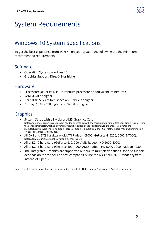

# <span id="page-4-0"></span>System Requirements

## <span id="page-4-1"></span>Windows 10 System Specifications

To get the best experience from EON-XR on your system, the following are the minimum recommended requirements:

### <span id="page-4-2"></span>**Software**

- Operating System: Windows 10
- Graphics Support: DirectX 9 or higher

#### <span id="page-4-3"></span>Hardware

- Processor: x86 or x64, 1GHz Pentium processor or equivalent (minimum);
- RAM: 4 GB or higher
- Hard disk: 5 GB of free space on C: drive or higher
- Display: 1024 x 768 high color, 32-bit or higher

## <span id="page-4-4"></span>Graphics

- System Setup with a Nvidia or AMD Graphics Card Note: Appropriate graphics card drivers need to be installed with the corresponding manufacturer's graphics card. Using the generic Microsoft Graphics drivers may result in errors or poor performance. Do ensure you install the manufacturer's drivers (if using a graphic card), or graphics drivers from the PC or Motherboard manufacturer if using on-board graphics card provided.
- All DX8 and DX9 hardware (old ATI Radeon X1000; GeForce 4, 5200, 6000 & 7000). Note: A few features may not be available on those cards.
- All of DX10 hardware (GeForce 8, 9, 200; AMD Radeon HD 2000-4000)
- All of DX11 hardware (GeForce 400 900; AMD Radeon HD 5000-7000; Radeon R280)
- Intel Integrated Graphics are supported but due to multiple variations, specific support depends on the model. For best compatibility use the D3D9 or D3D11 render system instead of OpenGL.

Note: EON-XR Desktop application can be downloaded from the EON-XR Platform "Downloads" Page after signing in.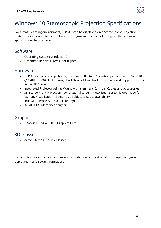

## <span id="page-5-0"></span>Windows 10 Stereoscopic Projection Specifications

For a mass learning environment, EON-XR can be displayed on a Stereoscopic Projection System for classroom to lecture hall-sized engagements. The following are the technical specifications for such a setup.

#### <span id="page-5-1"></span>Software

- Operating System: Windows 10
- Graphics Support: DirectX 9 or higher

#### <span id="page-5-2"></span>Hardware

- DLP Active Stereo Projection system: with Effective Resolution per screen of 1920x 1080 @ 120Hz, 4000ANSI Lumens, Short throw/ Ultra Short Throw Lens and Support for true Active 3D Stereo
- Integrated Projector ceiling Mount with alignment Controls, Cables and Accessories
- 3D Stereo Front Projection 100" diagonal screen (Motorized). Screen is optimized for EON 3D Visualization. (Screen size subject to space availability)
- Intel Xeon Processor 3.0 GHz or higher,
- 32GB DDR3 Memory or higher

#### <span id="page-5-3"></span>Graphics

• 1 Nvidia Quadro P5000 Graphics Card

## <span id="page-5-4"></span>3D Glasses

• Active Stereo DLP Link Glasses

Please refer to your accounts manager for additional support on stereoscopic configurations, deployment and setup information.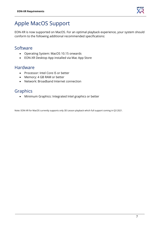

## <span id="page-6-0"></span>Apple MacOS Support

EON-XR is now supported on MacOS. For an optimal playback experience, your system should conform to the following additional recommended specifications:

## Software

- Operating System: MacOS 10.15 onwards
- EON-XR Desktop App installed via Mac App Store

#### Hardware

- Processor: Intel Core i5 or better
- Memory: 4 GB RAM or better
- Network: Broadband Internet connection

## Graphics

• Minimum Graphics: Integrated Intel graphics or better

Note: EON-XR for MacOS currently supports only 3D Lesson playback which full support coming in Q3 2021.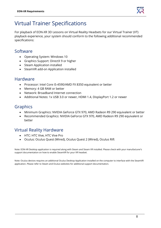

## <span id="page-7-0"></span>Virtual Trainer Specifications

For playback of EON-XR 3D Lessons on Virtual Reality Headsets for our Virtual Trainer (VT) playback experience, your system should conform to the following additional recommended specifications:

### <span id="page-7-1"></span>Software

- Operating System: Windows 10
- Graphics Support: DirectX 9 or higher
- Steam Application installed
- SteamVR add-on Application installed

#### <span id="page-7-2"></span>Hardware

- Processor: Intel Core i5-4590/AMD FX 8350 equivalent or better
- Memory: 4 GB RAM or better
- Network: Broadband Internet connection
- Additional Notes: 1x USB 3.0 or newer, HDMI 1.4, DisplayPort 1.2 or newer

## <span id="page-7-3"></span>Graphics

- Minimum Graphics: NVIDIA GeForce GTX 970, AMD Radeon R9 290 equivalent or better
- Recommended Graphics: NVIDIA GeForce GTX 970, AMD Radeon R9 290 equivalent or better

## <span id="page-7-4"></span>Virtual Reality Hardware

- HTC: HTC Vive, HTC Vive Pro
- Oculus: Oculus Quest (Wired), Oculus Quest 2 (Wired), Oculus Rift

Note: EON-XR Desktop application is required along with Steam and Steam VR installed. Please check with your manufacturer's support documentation on how to enable SteamVR for your VR headset.

Note: Oculus devices requires an additional Oculus Desktop Application installed on the computer to interface with the SteamVR application. Please refer to Steam and Oculus websites for additional support documentation.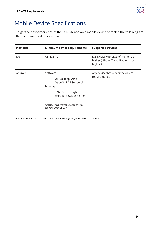

## <span id="page-8-0"></span>Mobile Device Specifications

To get the best experience of the EON-XR App on a mobile device or tablet, the following are the recommended requirements:

| <b>Platform</b> | Minimum device requirements                                                                           | <b>Supported Devices</b>                                                           |
|-----------------|-------------------------------------------------------------------------------------------------------|------------------------------------------------------------------------------------|
| iOS             | OS: IOS 10                                                                                            | IOS Device with 2GB of memory or<br>higher (iPhone 7 and iPad Air 2 or<br>higher.) |
| Android         | Software<br>OS: Lollipop (API21)<br>OpenGL ES 3 Support*<br>Memory                                    | Any device that meets the device<br>requirements.                                  |
|                 | RAM: 3GB or higher<br>$\overline{\phantom{0}}$<br>Storage: 32GB or higher<br>$\overline{\phantom{0}}$ |                                                                                    |
|                 | *(most devices running Lollipop already<br>supports Open GL ES 3)                                     |                                                                                    |

Note: EON-XR App can be downloaded from the Google Playstore and iOS AppStore.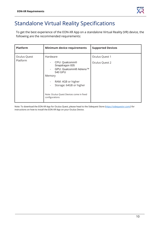## <span id="page-9-0"></span>Standalone Virtual Reality Specifications

To get the best experience of the EON-XR App on a standalone Virtual Reality (VR) device, the following are the recommended requirements:

| <b>Platform</b>          | Minimum device requirements                                                                                                                                                                                | <b>Supported Devices</b>         |
|--------------------------|------------------------------------------------------------------------------------------------------------------------------------------------------------------------------------------------------------|----------------------------------|
| Oculus Quest<br>Platform | Hardware<br>CPU: Qualcomm®<br>Snapdragon 835<br>GPU: Qualcomm® Adreno™<br>540 GPU<br>Memory<br>RAM: 4GB or higher<br>Storage: 64GB or higher<br>Note: Oculus Quest Devices come in fixed<br>configurations | Oculus Quest 1<br>Oculus Quest 2 |

Note: To download the EON-XR App for Oculus Quest, please head to the Sidequest Store [\(https://sidequestvr.com/\)](https://sidequestvr.com/) for instructions on how to install the EON-XR App on your Oculus Device.